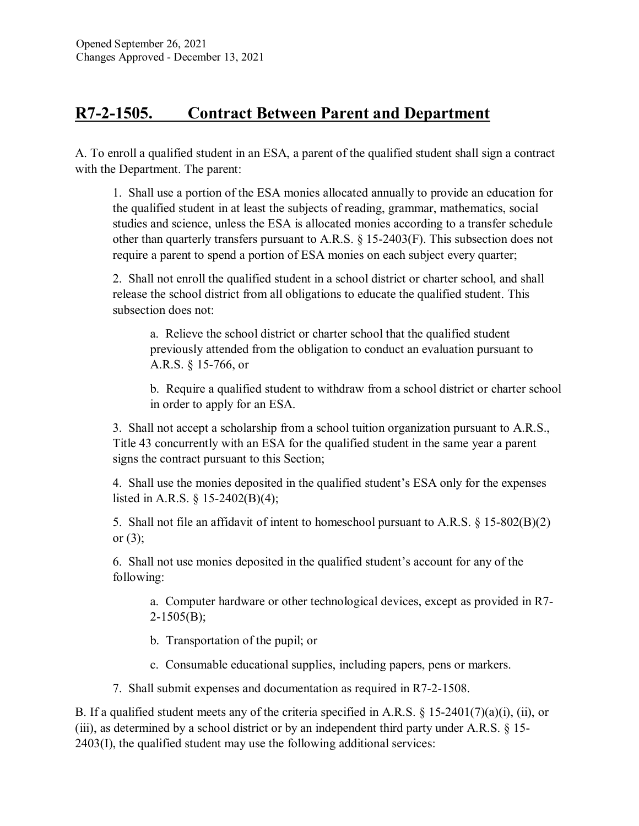## **R7-2-1505. Contract Between Parent and Department**

A. To enroll a qualified student in an ESA, a parent of the qualified student shall sign a contract with the Department. The parent:

1. Shall use a portion of the ESA monies allocated annually to provide an education for the qualified student in at least the subjects of reading, grammar, mathematics, social studies and science, unless the ESA is allocated monies according to a transfer schedule other than quarterly transfers pursuant to A.R.S. § 15-2403(F). This subsection does not require a parent to spend a portion of ESA monies on each subject every quarter;

2. Shall not enroll the qualified student in a school district or charter school, and shall release the school district from all obligations to educate the qualified student. This subsection does not:

a. Relieve the school district or charter school that the qualified student previously attended from the obligation to conduct an evaluation pursuant to A.R.S. § 15-766, or

b. Require a qualified student to withdraw from a school district or charter school in order to apply for an ESA.

3. Shall not accept a scholarship from a school tuition organization pursuant to A.R.S., Title 43 concurrently with an ESA for the qualified student in the same year a parent signs the contract pursuant to this Section;

4. Shall use the monies deposited in the qualified student's ESA only for the expenses listed in A.R.S. § 15-2402(B)(4);

5. Shall not file an affidavit of intent to homeschool pursuant to A.R.S. § 15-802(B)(2) or  $(3)$ ;

6. Shall not use monies deposited in the qualified student's account for any of the following:

a. Computer hardware or other technological devices, except as provided in R7- 2-1505(B);

b. Transportation of the pupil; or

c. Consumable educational supplies, including papers, pens or markers.

7. Shall submit expenses and documentation as required in R7-2-1508.

B. If a qualified student meets any of the criteria specified in A.R.S.  $\S$  15-2401(7)(a)(i), (ii), or (iii), as determined by a school district or by an independent third party under A.R.S. § 15- 2403(I), the qualified student may use the following additional services: